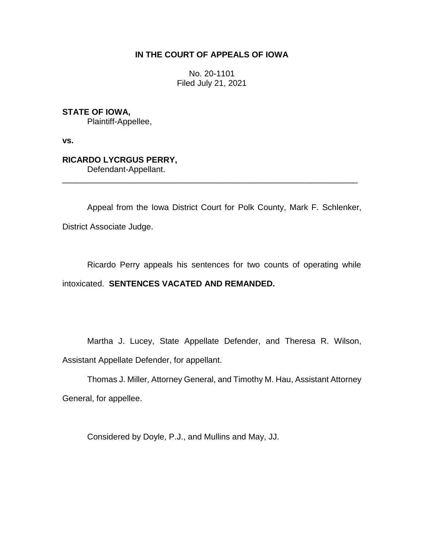# **IN THE COURT OF APPEALS OF IOWA**

No. 20-1101 Filed July 21, 2021

**STATE OF IOWA,**

Plaintiff-Appellee,

**vs.**

**RICARDO LYCRGUS PERRY,** Defendant-Appellant.

Appeal from the Iowa District Court for Polk County, Mark F. Schlenker, District Associate Judge.

\_\_\_\_\_\_\_\_\_\_\_\_\_\_\_\_\_\_\_\_\_\_\_\_\_\_\_\_\_\_\_\_\_\_\_\_\_\_\_\_\_\_\_\_\_\_\_\_\_\_\_\_\_\_\_\_\_\_\_\_\_\_\_\_

Ricardo Perry appeals his sentences for two counts of operating while intoxicated. **SENTENCES VACATED AND REMANDED.** 

Martha J. Lucey, State Appellate Defender, and Theresa R. Wilson, Assistant Appellate Defender, for appellant.

Thomas J. Miller, Attorney General, and Timothy M. Hau, Assistant Attorney General, for appellee.

Considered by Doyle, P.J., and Mullins and May, JJ.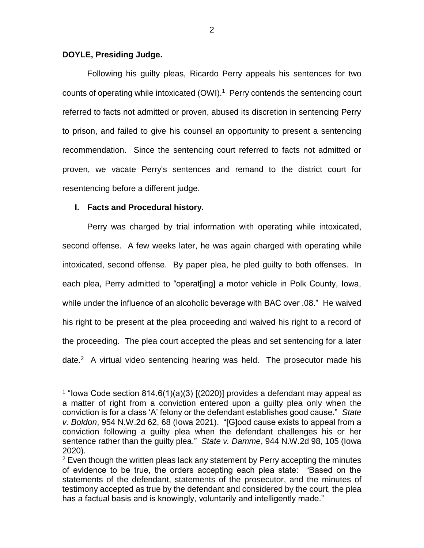#### **DOYLE, Presiding Judge.**

Following his guilty pleas, Ricardo Perry appeals his sentences for two counts of operating while intoxicated (OWI).<sup>1</sup> Perry contends the sentencing court referred to facts not admitted or proven, abused its discretion in sentencing Perry to prison, and failed to give his counsel an opportunity to present a sentencing recommendation. Since the sentencing court referred to facts not admitted or proven, we vacate Perry's sentences and remand to the district court for resentencing before a different judge.

# **I. Facts and Procedural history.**

 $\overline{a}$ 

Perry was charged by trial information with operating while intoxicated, second offense. A few weeks later, he was again charged with operating while intoxicated, second offense. By paper plea, he pled guilty to both offenses. In each plea, Perry admitted to "operat[ing] a motor vehicle in Polk County, Iowa, while under the influence of an alcoholic beverage with BAC over .08." He waived his right to be present at the plea proceeding and waived his right to a record of the proceeding. The plea court accepted the pleas and set sentencing for a later date. $2$  A virtual video sentencing hearing was held. The prosecutor made his

<sup>&</sup>lt;sup>1</sup> "lowa Code section 814.6(1)(a)(3) [(2020)] provides a defendant may appeal as a matter of right from a conviction entered upon a guilty plea only when the conviction is for a class 'A' felony or the defendant establishes good cause." *State v. Boldon*, 954 N.W.2d 62, 68 (Iowa 2021). "[G]ood cause exists to appeal from a conviction following a guilty plea when the defendant challenges his or her sentence rather than the guilty plea." *State v. Damme*, 944 N.W.2d 98, 105 (Iowa 2020).

 $2$  Even though the written pleas lack any statement by Perry accepting the minutes of evidence to be true, the orders accepting each plea state: "Based on the statements of the defendant, statements of the prosecutor, and the minutes of testimony accepted as true by the defendant and considered by the court, the plea has a factual basis and is knowingly, voluntarily and intelligently made."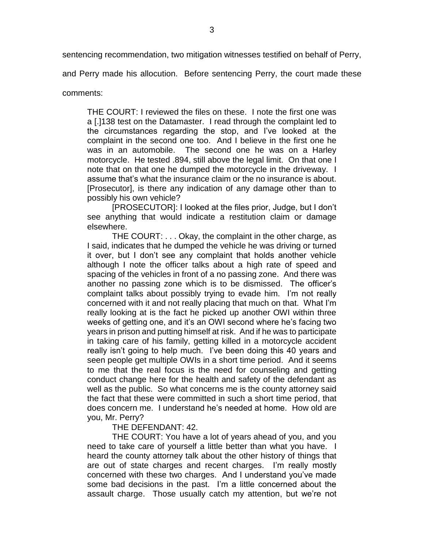sentencing recommendation, two mitigation witnesses testified on behalf of Perry,

and Perry made his allocution. Before sentencing Perry, the court made these

comments:

THE COURT: I reviewed the files on these. I note the first one was a [.]138 test on the Datamaster. I read through the complaint led to the circumstances regarding the stop, and I've looked at the complaint in the second one too. And I believe in the first one he was in an automobile. The second one he was on a Harley motorcycle. He tested .894, still above the legal limit. On that one I note that on that one he dumped the motorcycle in the driveway. I assume that's what the insurance claim or the no insurance is about. [Prosecutor], is there any indication of any damage other than to possibly his own vehicle?

[PROSECUTOR]: I looked at the files prior, Judge, but I don't see anything that would indicate a restitution claim or damage elsewhere.

THE COURT: . . . Okay, the complaint in the other charge, as I said, indicates that he dumped the vehicle he was driving or turned it over, but I don't see any complaint that holds another vehicle although I note the officer talks about a high rate of speed and spacing of the vehicles in front of a no passing zone. And there was another no passing zone which is to be dismissed. The officer's complaint talks about possibly trying to evade him. I'm not really concerned with it and not really placing that much on that. What I'm really looking at is the fact he picked up another OWI within three weeks of getting one, and it's an OWI second where he's facing two years in prison and putting himself at risk. And if he was to participate in taking care of his family, getting killed in a motorcycle accident really isn't going to help much. I've been doing this 40 years and seen people get multiple OWIs in a short time period. And it seems to me that the real focus is the need for counseling and getting conduct change here for the health and safety of the defendant as well as the public. So what concerns me is the county attorney said the fact that these were committed in such a short time period, that does concern me. I understand he's needed at home. How old are you, Mr. Perry?

THE DEFENDANT: 42.

THE COURT: You have a lot of years ahead of you, and you need to take care of yourself a little better than what you have. I heard the county attorney talk about the other history of things that are out of state charges and recent charges. I'm really mostly concerned with these two charges. And I understand you've made some bad decisions in the past. I'm a little concerned about the assault charge. Those usually catch my attention, but we're not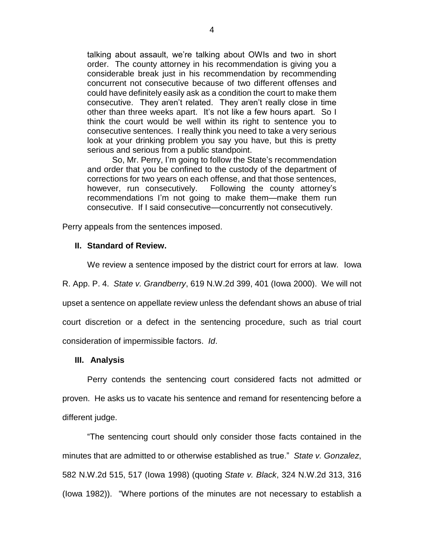talking about assault, we're talking about OWIs and two in short order. The county attorney in his recommendation is giving you a considerable break just in his recommendation by recommending concurrent not consecutive because of two different offenses and could have definitely easily ask as a condition the court to make them consecutive. They aren't related. They aren't really close in time other than three weeks apart. It's not like a few hours apart. So I think the court would be well within its right to sentence you to consecutive sentences. I really think you need to take a very serious look at your drinking problem you say you have, but this is pretty serious and serious from a public standpoint.

So, Mr. Perry, I'm going to follow the State's recommendation and order that you be confined to the custody of the department of corrections for two years on each offense, and that those sentences, however, run consecutively. Following the county attorney's recommendations I'm not going to make them—make them run consecutive. If I said consecutive—concurrently not consecutively.

Perry appeals from the sentences imposed.

# **II. Standard of Review.**

We review a sentence imposed by the district court for errors at law. Iowa

R. App. P. 4. *State v. Grandberry*, 619 N.W.2d 399, 401 (Iowa 2000). We will not upset a sentence on appellate review unless the defendant shows an abuse of trial court discretion or a defect in the sentencing procedure, such as trial court consideration of impermissible factors. *Id*.

### **III. Analysis**

Perry contends the sentencing court considered facts not admitted or proven. He asks us to vacate his sentence and remand for resentencing before a different judge.

"The sentencing court should only consider those facts contained in the minutes that are admitted to or otherwise established as true." *State v. Gonzalez*, 582 N.W.2d 515, 517 (Iowa 1998) (quoting *State v. Black*, 324 N.W.2d 313, 316 (Iowa 1982)). "Where portions of the minutes are not necessary to establish a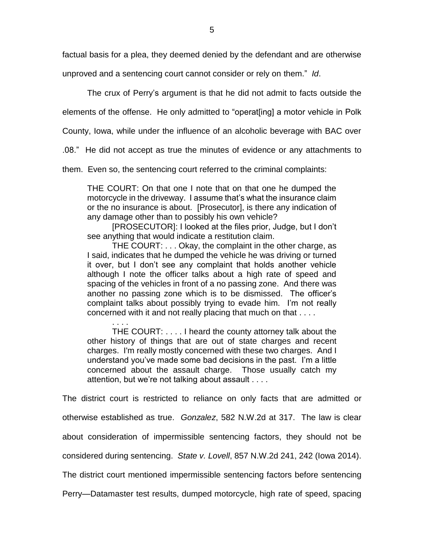factual basis for a plea, they deemed denied by the defendant and are otherwise

unproved and a sentencing court cannot consider or rely on them." *Id*.

The crux of Perry's argument is that he did not admit to facts outside the

elements of the offense. He only admitted to "operat[ing] a motor vehicle in Polk

County, Iowa, while under the influence of an alcoholic beverage with BAC over

.08." He did not accept as true the minutes of evidence or any attachments to

them. Even so, the sentencing court referred to the criminal complaints:

THE COURT: On that one I note that on that one he dumped the motorcycle in the driveway. I assume that's what the insurance claim or the no insurance is about. [Prosecutor], is there any indication of any damage other than to possibly his own vehicle?

[PROSECUTOR]: I looked at the files prior, Judge, but I don't see anything that would indicate a restitution claim.

THE COURT: . . . Okay, the complaint in the other charge, as I said, indicates that he dumped the vehicle he was driving or turned it over, but I don't see any complaint that holds another vehicle although I note the officer talks about a high rate of speed and spacing of the vehicles in front of a no passing zone. And there was another no passing zone which is to be dismissed. The officer's complaint talks about possibly trying to evade him. I'm not really concerned with it and not really placing that much on that . . . .

. . . . THE COURT: . . . . I heard the county attorney talk about the other history of things that are out of state charges and recent charges. I'm really mostly concerned with these two charges. And I understand you've made some bad decisions in the past. I'm a little concerned about the assault charge. Those usually catch my attention, but we're not talking about assault . . . .

The district court is restricted to reliance on only facts that are admitted or otherwise established as true. *Gonzalez*, 582 N.W.2d at 317. The law is clear about consideration of impermissible sentencing factors, they should not be considered during sentencing. *State v. Lovell*, 857 N.W.2d 241, 242 (Iowa 2014). The district court mentioned impermissible sentencing factors before sentencing Perry—Datamaster test results, dumped motorcycle, high rate of speed, spacing